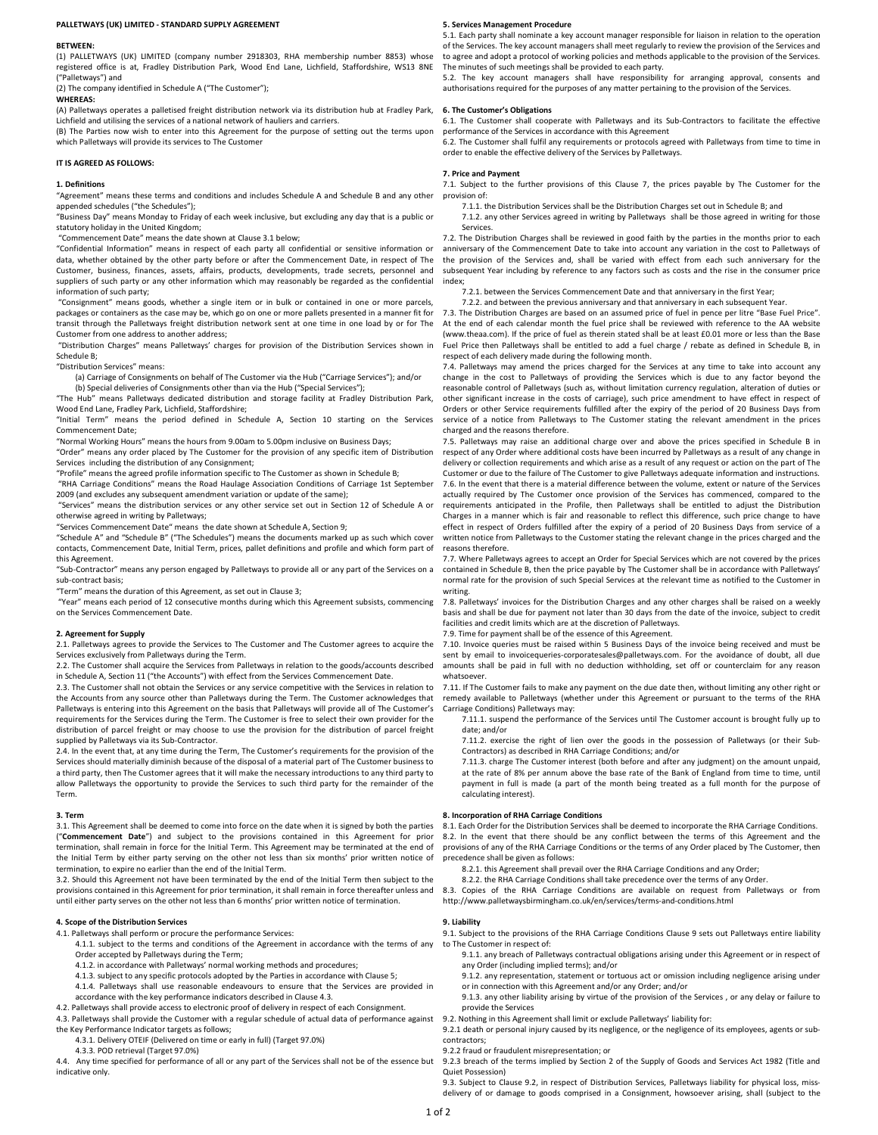#### PALLETWAYS (UK) LIMITED - STANDARD SUPPLY AGREEMENT

# BETWEEN:

(1) PALLETWAYS (UK) LIMITED (company number 2918303, RHA membership number 8853) whose registered office is at, Fradley Distribution Park, Wood End Lane, Lichfield, Staffordshire, WS13 8NE ("Palletways") and

(2) The company identified in Schedule A ("The Customer");

WHEREAS:

(A) Palletways operates a palletised freight distribution network via its distribution hub at Fradley Park,

Lichfield and utilising the services of a national network of hauliers and carriers. (B) The Parties now wish to enter into this Agreement for the purpose of setting out the terms upon which Palletways will provide its services to The Customer

### IT IS AGREED AS FOLLOWS:

#### 1. Definitions

"Agreement" means these terms and conditions and includes Schedule A and Schedule B and any other appended schedules ("the Schedules");

"Business Day" means Monday to Friday of each week inclusive, but excluding any day that is a public or statutory holiday in the United Kingdom;

"Commencement Date" means the date shown at Clause 3.1 below;

"Confidential Information" means in respect of each party all confidential or sensitive information or data, whether obtained by the other party before or after the Commencement Date, in respect of The Customer, business, finances, assets, affairs, products, developments, trade secrets, personnel and suppliers of such party or any other information which may reasonably be regarded as the confidential information of such party;

 "Consignment" means goods, whether a single item or in bulk or contained in one or more parcels, packages or containers as the case may be, which go on one or more pallets presented in a manner fit for transit through the Palletways freight distribution network sent at one time in one load by or for The Customer from one address to another address;

 "Distribution Charges" means Palletways' charges for provision of the Distribution Services shown in Schedule B;

"Distribution Services" means:

(a) Carriage of Consignments on behalf of The Customer via the Hub ("Carriage Services"); and/or

(b) Special deliveries of Consignments other than via the Hub ("Special Services"); "The Hub" means Palletways dedicated distribution and storage facility at Fradley Distribution Park,

Wood End Lane, Fradley Park, Lichfield, Staffordshire; "Initial Term" means the period defined in Schedule A, Section 10 starting on the Services

Commencement Date;

"Normal Working Hours" means the hours from 9.00am to 5.00pm inclusive on Business Days;

"Order" means any order placed by The Customer for the provision of any specific item of Distribution Services including the distribution of any Consignment;

"Profile" means the agreed profile information specific to The Customer as shown in Schedule B;

 "RHA Carriage Conditions" means the Road Haulage Association Conditions of Carriage 1st September 2009 (and excludes any subsequent amendment variation or update of the same);

 "Services" means the distribution services or any other service set out in Section 12 of Schedule A or otherwise agreed in writing by Palletways;

"Services Commencement Date" means the date shown at Schedule A, Section 9;

"Schedule A" and "Schedule B" ("The Schedules") means the documents marked up as such which cover contacts, Commencement Date, Initial Term, prices, pallet definitions and profile and which form part of this Agreement.

"Sub-Contractor" means any person engaged by Palletways to provide all or any part of the Services on a sub-contract basis;

"Term" means the duration of this Agreement, as set out in Clause 3;

 "Year" means each period of 12 consecutive months during which this Agreement subsists, commencing on the Services Commencement Date.

#### 2. Agreement for Supply

2.1. Palletways agrees to provide the Services to The Customer and The Customer agrees to acquire the Services exclusively from Palletways during the Term.

2.2. The Customer shall acquire the Services from Palletways in relation to the goods/accounts described in Schedule A, Section 11 ("the Accounts") with effect from the Services Commencement Date.

2.3. The Customer shall not obtain the Services or any service competitive with the Services in relation to the Accounts from any source other than Palletways during the Term. The Customer acknowledges that Palletways is entering into this Agreement on the basis that Palletways will provide all of The Customer's requirements for the Services during the Term. The Customer is free to select their own provider for the distribution of parcel freight or may choose to use the provision for the distribution of parcel freight supplied by Palletways via its Sub-Contractor.

2.4. In the event that, at any time during the Term, The Customer's requirements for the provision of the Services should materially diminish because of the disposal of a material part of The Customer business to a third party, then The Customer agrees that it will make the necessary introductions to any third party to allow Palletways the opportunity to provide the Services to such third party for the remainder of the Term.

#### 3. Term

3.1. This Agreement shall be deemed to come into force on the date when it is signed by both the parties ("Commencement Date") and subject to the provisions contained in this Agreement for prior termination, shall remain in force for the Initial Term. This Agreement may be terminated at the end of the Initial Term by either party serving on the other not less than six months' prior written notice of termination, to expire no earlier than the end of the Initial Term.

3.2. Should this Agreement not have been terminated by the end of the Initial Term then subject to the provisions contained in this Agreement for prior termination, it shall remain in force thereafter unless and until either party serves on the other not less than 6 months' prior written notice of termination.

### 4. Scope of the Distribution Services

4.1. Palletways shall perform or procure the performance Services:

4.1.1. subject to the terms and conditions of the Agreement in accordance with the terms of any Order accepted by Palletways during the Term;

- 4.1.2. in accordance with Palletways' normal working methods and procedures;
- 4.1.3. subject to any specific protocols adopted by the Parties in accordance with Clause 5;

4.1.4. Palletways shall use reasonable endeavours to ensure that the Services are provided in accordance with the key performance indicators described in Clause 4.3.

4.2. Palletways shall provide access to electronic proof of delivery in respect of each Consignment.

4.3. Palletways shall provide the Customer with a regular schedule of actual data of performance against 9.2. Nothing in this Agreement shall limit or exclude Palletways' liability for: the Key Performance Indicator targets as follows;

- 4.3.1. Delivery OTEIF (Delivered on time or early in full) (Target 97.0%)
- 4.3.3. POD retrieval (Target 97.0%)

4.4. Any time specified for performance of all or any part of the Services shall not be of the essence but indicative only.

#### 5. Services Management Procedure

5.1. Each party shall nominate a key account manager responsible for liaison in relation to the operation of the Services. The key account managers shall meet regularly to review the provision of the Services and to agree and adopt a protocol of working policies and methods applicable to the provision of the Services. The minutes of such meetings shall be provided to each party.

5.2. The key account managers shall have responsibility for arranging approval, consents and authorisations required for the purposes of any matter pertaining to the provision of the Services.

# 6. The Customer's Obligations

6.1. The Customer shall cooperate with Palletways and its Sub-Contractors to facilitate the effective performance of the Services in accordance with this Agreement

6.2. The Customer shall fulfil any requirements or protocols agreed with Palletways from time to time in order to enable the effective delivery of the Services by Palletways.

# 7. Price and Payment

7.1. Subject to the further provisions of this Clause 7, the prices payable by The Customer for the provision of:

7.1.1. the Distribution Services shall be the Distribution Charges set out in Schedule B; and

7.1.2. any other Services agreed in writing by Palletways shall be those agreed in writing for those Services.

7.2. The Distribution Charges shall be reviewed in good faith by the parties in the months prior to each anniversary of the Commencement Date to take into account any variation in the cost to Palletways of the provision of the Services and, shall be varied with effect from each such anniversary for the subsequent Year including by reference to any factors such as costs and the rise in the consumer price index;

7.2.1. between the Services Commencement Date and that anniversary in the first Year;

7.2.2. and between the previous anniversary and that anniversary in each subsequent Year. 7.3. The Distribution Charges are based on an assumed price of fuel in pence per litre "Base Fuel Price". At the end of each calendar month the fuel price shall be reviewed with reference to the AA website

(www.theaa.com). If the price of fuel as therein stated shall be at least £0.01 more or less than the Base Fuel Price then Palletways shall be entitled to add a fuel charge / rebate as defined in Schedule B, in respect of each delivery made during the following month.

7.4. Palletways may amend the prices charged for the Services at any time to take into account any change in the cost to Palletways of providing the Services which is due to any factor beyond the reasonable control of Palletways (such as, without limitation currency regulation, alteration of duties or other significant increase in the costs of carriage), such price amendment to have effect in respect of Orders or other Service requirements fulfilled after the expiry of the period of 20 Business Days from service of a notice from Palletways to The Customer stating the relevant amendment in the prices charged and the reasons therefore.

7.5. Palletways may raise an additional charge over and above the prices specified in Schedule B in respect of any Order where additional costs have been incurred by Palletways as a result of any change in delivery or collection requirements and which arise as a result of any request or action on the part of The Customer or due to the failure of The Customer to give Palletways adequate information and instructions. 7.6. In the event that there is a material difference between the volume, extent or nature of the Services actually required by The Customer once provision of the Services has commenced, compared to the requirements anticipated in the Profile, then Palletways shall be entitled to adjust the Distribution Charges in a manner which is fair and reasonable to reflect this difference, such price change to have effect in respect of Orders fulfilled after the expiry of a period of 20 Business Days from service of a written notice from Palletways to the Customer stating the relevant change in the prices charged and the reasons therefore.

7.7. Where Palletways agrees to accept an Order for Special Services which are not covered by the prices contained in Schedule B, then the price payable by The Customer shall be in accordance with Palletways' normal rate for the provision of such Special Services at the relevant time as notified to the Customer in writing.

7.8. Palletways' invoices for the Distribution Charges and any other charges shall be raised on a weekly basis and shall be due for payment not later than 30 days from the date of the invoice, subject to credit facilities and credit limits which are at the discretion of Palletways.

7.9. Time for payment shall be of the essence of this Agreement.

7.10. Invoice queries must be raised within 5 Business Days of the invoice being received and must be sent by email to invoicequeries-corporatesales@palletways.com. For the avoidance of doubt, all due amounts shall be paid in full with no deduction withholding, set off or counterclaim for any reason whatsoever.

7.11. If The Customer fails to make any payment on the due date then, without limiting any other right or remedy available to Palletways (whether under this Agreement or pursuant to the terms of the RHA Carriage Conditions) Palletways may:

7.11.1. suspend the performance of the Services until The Customer account is brought fully up to date; and/or

7.11.2. exercise the right of lien over the goods in the possession of Palletways (or their Sub-Contractors) as described in RHA Carriage Conditions; and/or

7.11.3. charge The Customer interest (both before and after any judgment) on the amount unpaid, at the rate of 8% per annum above the base rate of the Bank of England from time to time, until payment in full is made (a part of the month being treated as a full month for the purpose of .<br>calculating interest).

#### 8. Incorporation of RHA Carriage Conditions

8.1. Each Order for the Distribution Services shall be deemed to incorporate the RHA Carriage Conditions. 8.2. In the event that there should be any conflict between the terms of this Agreement and the provisions of any of the RHA Carriage Conditions or the terms of any Order placed by The Customer, then precedence shall be given as follows:

8.2.1. this Agreement shall prevail over the RHA Carriage Conditions and any Order;

8.2.2. the RHA Carriage Conditions shall take precedence over the terms of any Order. 8.3. Copies of the RHA Carriage Conditions are available on request from Palletways or from

http://www.palletwaysbirmingham.co.uk/en/services/terms-and-conditions.html

# 9. Liability

9.1. Subject to the provisions of the RHA Carriage Conditions Clause 9 sets out Palletways entire liability to The Customer in respect of:

9.1.1. any breach of Palletways contractual obligations arising under this Agreement or in respect of any Order (including implied terms); and/or

9.1.2. any representation, statement or tortuous act or omission including negligence arising under or in connection with this Agreement and/or any Order; and/or

9.1.3. any other liability arising by virtue of the provision of the Services , or any delay or failure to provide the Services

9.2.1 death or personal injury caused by its negligence, or the negligence of its employees, agents or subcontractors;

9.2.2 fraud or fraudulent misrepresentation; or

9.2.3 breach of the terms implied by Section 2 of the Supply of Goods and Services Act 1982 (Title and Quiet Possession)

9.3. Subject to Clause 9.2, in respect of Distribution Services, Palletways liability for physical loss, missdelivery of or damage to goods comprised in a Consignment, howsoever arising, shall (subject to the